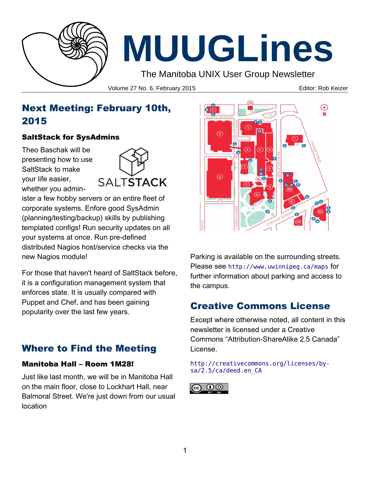

# **MUUGLines**

The Manitoba UNIX User Group Newsletter

Volume 27 No. 6, February 2015 **Editor: Rob Keizer** Editor: Rob Keizer

# Next Meeting: February 10th, 2015

#### SaltStack for SysAdmins

Theo Baschak will be presenting how to use SaltStack to make your life easier, whether you admin-



ister a few hobby servers or an entire fleet of corporate systems. Enfore good SysAdmin (planning/testing/backup) skills by publishing templated configs! Run security updates on all your systems at once. Run pre-defined distributed Nagios host/service checks via the new Nagios module!

For those that haven't heard of SaltStack before, it is a configuration management system that enforces state. It is usually compared with Puppet and Chef, and has been gaining popularity over the last few years.

# Where to Find the Meeting

#### Manitoba Hall – Room 1M28!

Just like last month, we will be in Manitoba Hall on the main floor, close to Lockhart Hall, near Balmoral Street. We're just down from our usual location



Parking is available on the surrounding streets. Please see <http://www.uwinnipeg.ca/maps> for further information about parking and access to the campus.

# Creative Commons License

Except where otherwise noted, all content in this newsletter is licensed under a Creative Commons "Attribution-ShareAlike 2.5 Canada" License.

#### [http://creativecommons.org/licenses/by](http://creativecommons.org/licenses/by-sa/2.5/ca/deed.en_CA)[sa/2.5/ca/deed.en\\_CA](http://creativecommons.org/licenses/by-sa/2.5/ca/deed.en_CA)

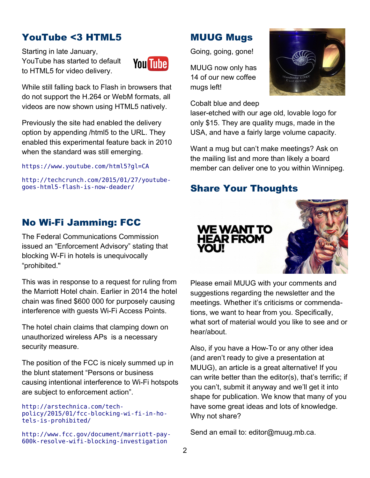## YouTube <3 HTML5

Starting in late January, YouTube has started to default to HTML5 for video delivery.



While still falling back to Flash in browsers that do not support the H.264 or WebM formats, all videos are now shown using HTML5 natively.

Previously the site had enabled the delivery option by appending /html5 to the URL. They enabled this experimental feature back in 2010 when the standard was still emerging.

<https://www.youtube.com/html5?gl=CA>

[http://techcrunch.com/2015/01/27/youtube](http://techcrunch.com/2015/01/27/youtube-goes-html5-flash-is-now-deader/)[goes-html5-flash-is-now-deader/](http://techcrunch.com/2015/01/27/youtube-goes-html5-flash-is-now-deader/)

## No Wi-Fi Jamming: FCC

The Federal Communications Commission issued an "Enforcement Advisory" stating that blocking W-Fi in hotels is unequivocally "prohibited."

This was in response to a request for ruling from the Marriott Hotel chain. Earlier in 2014 the hotel chain was fined \$600 000 for purposely causing interference with guests Wi-Fi Access Points.

The hotel chain claims that clamping down on unauthorized wireless APs is a necessary security measure.

The position of the FCC is nicely summed up in the blunt statement "Persons or business causing intentional interference to Wi-Fi hotspots are subject to enforcement action".

#### [http://arstechnica.com/tech](http://arstechnica.com/tech-policy/2015/01/fcc-blocking-wi-fi-in-hotels-is-prohibited/)[policy/2015/01/fcc-blocking-wi-fi-in-ho](http://arstechnica.com/tech-policy/2015/01/fcc-blocking-wi-fi-in-hotels-is-prohibited/)[tels-is-prohibited/](http://arstechnica.com/tech-policy/2015/01/fcc-blocking-wi-fi-in-hotels-is-prohibited/)

[http://www.fcc.gov/document/marriott-pay-](http://www.fcc.gov/document/marriott-pay-600k-resolve-wifi-blocking-investigation)[600k-resolve-wifi-blocking-investigation](http://www.fcc.gov/document/marriott-pay-600k-resolve-wifi-blocking-investigation)

# MUUG Mugs

Going, going, gone!

MUUG now only has 14 of our new coffee mugs left!

Cobalt blue and deep

laser-etched with our age old, lovable logo for only \$15. They are quality mugs, made in the USA, and have a fairly large volume capacity.

Want a mug but can't make meetings? Ask on the mailing list and more than likely a board member can deliver one to you within Winnipeg.

# Share Your Thoughts



Please email MUUG with your comments and suggestions regarding the newsletter and the meetings. Whether it's criticisms or commendations, we want to hear from you. Specifically, what sort of material would you like to see and or hear/about.

Also, if you have a How-To or any other idea (and aren't ready to give a presentation at MUUG), an article is a great alternative! If you can write better than the editor(s), that's terrific; if you can't, submit it anyway and we'll get it into shape for publication. We know that many of you have some great ideas and lots of knowledge. Why not share?

Send an email to: editor@muug.mb.ca.

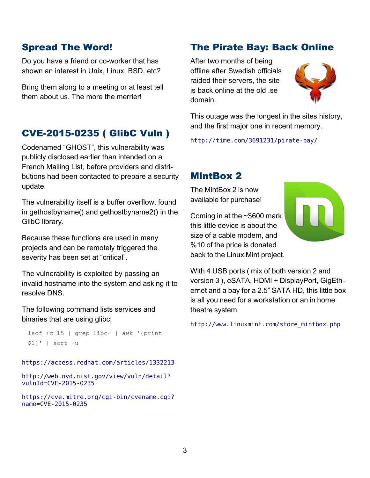#### Spread The Word!

Do you have a friend or co-worker that has shown an interest in Unix, Linux, BSD, etc?

Bring them along to a meeting or at least tell them about us. The more the merrier!

#### CVE-2015-0235 ( GlibC Vuln )

Codenamed "GHOST", this vulnerability was publicly disclosed earlier than intended on a French Mailing List, before providers and distributions had been contacted to prepare a security update.

The vulnerability itself is a buffer overflow, found in gethostbyname() and gethostbyname2() in the GlibC library.

Because these functions are used in many projects and can be remotely triggered the severity has been set at "critical".

The vulnerability is exploited by passing an invalid hostname into the system and asking it to resolve DNS.

The following command lists services and binaries that are using glibc;

```
lsof +c 15 | grep libc- | awk '{print 
$1}' | sort -u
```
<https://access.redhat.com/articles/1332213>

```
http://web.nvd.nist.gov/view/vuln/detail?
vulnId=CVE-2015-0235
```

```
https://cve.mitre.org/cgi-bin/cvename.cgi?
name=CVE-2015-0235
```
## The Pirate Bay: Back Online

After two months of being offline after Swedish officials raided their servers, the site is back online at the old .se domain.



This outage was the longest in the sites history, and the first major one in recent memory.

<http://time.com/3691231/pirate-bay/>

### MintBox 2

The MintBox 2 is now available for purchase!

Coming in at the ~\$600 mark, this little device is about the size of a cable modem, and %10 of the price is donated back to the Linux Mint project.

With 4 USB ports ( mix of both version 2 and version 3 ), eSATA, HDMI + DisplayPort, GigEthernet and a bay for a 2.5" SATA HD, this little box is all you need for a workstation or an in home theatre system.

http://www.linuxmint.com/store\_mintbox.php